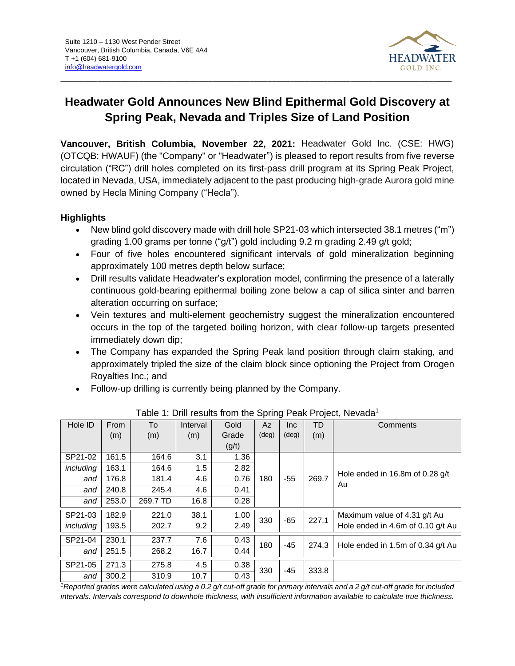

# **Headwater Gold Announces New Blind Epithermal Gold Discovery at Spring Peak, Nevada and Triples Size of Land Position**

**Vancouver, British Columbia, November 22, 2021:** Headwater Gold Inc. (CSE: HWG) (OTCQB: HWAUF) (the "Company" or "Headwater") is pleased to report results from five reverse circulation ("RC") drill holes completed on its first-pass drill program at its Spring Peak Project, located in Nevada, USA, immediately adjacent to the past producing high-grade Aurora gold mine owned by Hecla Mining Company ("Hecla").

# **Highlights**

- New blind gold discovery made with drill hole SP21-03 which intersected 38.1 metres ("m") grading 1.00 grams per tonne ("g/t") gold including 9.2 m grading 2.49 g/t gold;
- Four of five holes encountered significant intervals of gold mineralization beginning approximately 100 metres depth below surface;
- Drill results validate Headwater's exploration model, confirming the presence of a laterally continuous gold-bearing epithermal boiling zone below a cap of silica sinter and barren alteration occurring on surface;
- Vein textures and multi-element geochemistry suggest the mineralization encountered occurs in the top of the targeted boiling horizon, with clear follow-up targets presented immediately down dip;
- The Company has expanded the Spring Peak land position through claim staking, and approximately tripled the size of the claim block since optioning the Project from Orogen Royalties Inc.; and
- Follow-up drilling is currently being planned by the Company.

| Hole ID   | From  | To       | Interval | Gold  | - - - - - - -<br>Az | Inc.           | TD                                | Comments                              |
|-----------|-------|----------|----------|-------|---------------------|----------------|-----------------------------------|---------------------------------------|
|           | (m)   | (m)      | (m)      | Grade | $(\text{deg})$      | $(\text{deg})$ | (m)                               |                                       |
|           |       |          |          | (g/t) |                     |                |                                   |                                       |
| SP21-02   | 161.5 | 164.6    | 3.1      | 1.36  |                     |                |                                   |                                       |
| including | 163.1 | 164.6    | 1.5      | 2.82  |                     |                |                                   |                                       |
| and       | 176.8 | 181.4    | 4.6      | 0.76  | 180                 | $-55$          | 269.7                             | Hole ended in 16.8m of 0.28 g/t<br>Au |
| and       | 240.8 | 245.4    | 4.6      | 0.41  |                     |                |                                   |                                       |
| and       | 253.0 | 269.7 TD | 16.8     | 0.28  |                     |                |                                   |                                       |
| SP21-03   | 182.9 | 221.0    | 38.1     | 1.00  | 330                 | $-65$          | 227.1                             | Maximum value of 4.31 g/t Au          |
| including | 193.5 | 202.7    | 9.2      | 2.49  |                     |                |                                   | Hole ended in 4.6m of 0.10 g/t Au     |
| SP21-04   | 230.1 | 237.7    | 7.6      | 0.43  | 180<br>$-45$        |                | 274.3                             |                                       |
| and       | 251.5 | 268.2    | 16.7     | 0.44  |                     |                | Hole ended in 1.5m of 0.34 g/t Au |                                       |
| SP21-05   | 271.3 | 275.8    | 4.5      | 0.38  | 330                 | $-45$          | 333.8                             |                                       |
| and       | 300.2 | 310.9    | 10.7     | 0.43  |                     |                |                                   |                                       |

Table 1: Drill results from the Spring Peak Project, Nevada<sup>1</sup>

*<sup>1</sup>Reported grades were calculated using a 0.2 g/t cut-off grade for primary intervals and a 2 g/t cut-off grade for included intervals. Intervals correspond to downhole thickness, with insufficient information available to calculate true thickness.*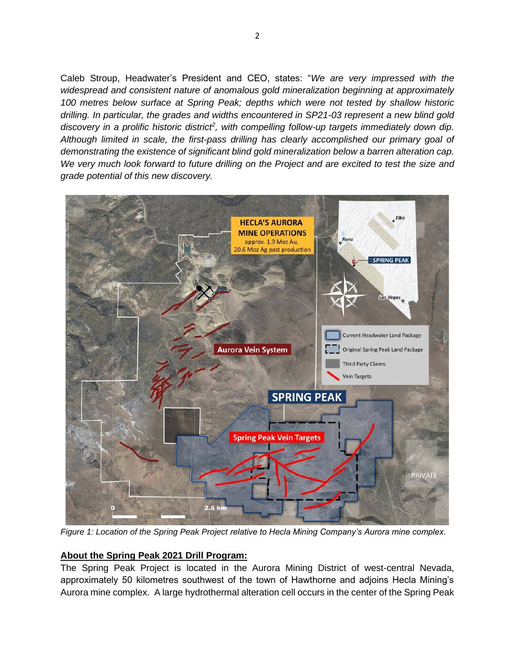Caleb Stroup, Headwater's President and CEO, states: "*We are very impressed with the widespread and consistent nature of anomalous gold mineralization beginning at approximately 100 metres below surface at Spring Peak; depths which were not tested by shallow historic drilling. In particular, the grades and widths encountered in SP21-03 represent a new blind gold*  discovery in a prolific historic district<sup>2</sup>, with compelling follow-up targets immediately down dip. *Although limited in scale, the first-pass drilling has clearly accomplished our primary goal of demonstrating the existence of significant blind gold mineralization below a barren alteration cap. We very much look forward to future drilling on the Project and are excited to test the size and grade potential of this new discovery.*



*Figure 1: Location of the Spring Peak Project relative to Hecla Mining Company's Aurora mine complex.*

# **About the Spring Peak 2021 Drill Program:**

The Spring Peak Project is located in the Aurora Mining District of west-central Nevada, approximately 50 kilometres southwest of the town of Hawthorne and adjoins Hecla Mining's Aurora mine complex. A large hydrothermal alteration cell occurs in the center of the Spring Peak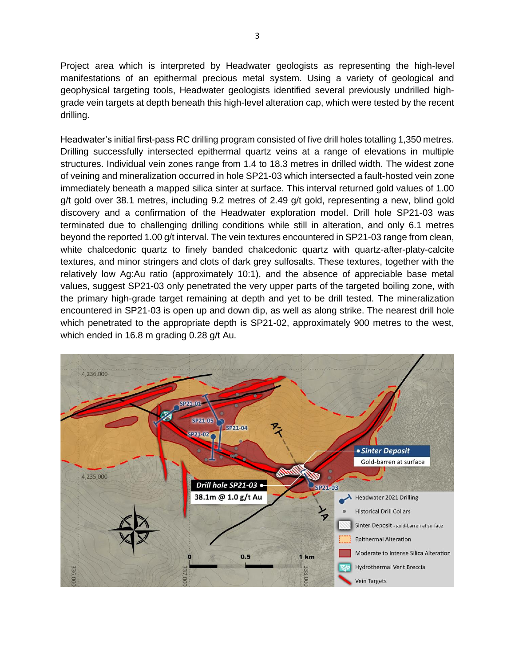Project area which is interpreted by Headwater geologists as representing the high-level manifestations of an epithermal precious metal system. Using a variety of geological and geophysical targeting tools, Headwater geologists identified several previously undrilled highgrade vein targets at depth beneath this high-level alteration cap, which were tested by the recent drilling.

Headwater's initial first-pass RC drilling program consisted of five drill holes totalling 1,350 metres. Drilling successfully intersected epithermal quartz veins at a range of elevations in multiple structures. Individual vein zones range from 1.4 to 18.3 metres in drilled width. The widest zone of veining and mineralization occurred in hole SP21-03 which intersected a fault-hosted vein zone immediately beneath a mapped silica sinter at surface. This interval returned gold values of 1.00 g/t gold over 38.1 metres, including 9.2 metres of 2.49 g/t gold, representing a new, blind gold discovery and a confirmation of the Headwater exploration model. Drill hole SP21-03 was terminated due to challenging drilling conditions while still in alteration, and only 6.1 metres beyond the reported 1.00 g/t interval. The vein textures encountered in SP21-03 range from clean, white chalcedonic quartz to finely banded chalcedonic quartz with quartz-after-platy-calcite textures, and minor stringers and clots of dark grey sulfosalts. These textures, together with the relatively low Ag:Au ratio (approximately 10:1), and the absence of appreciable base metal values, suggest SP21-03 only penetrated the very upper parts of the targeted boiling zone, with the primary high-grade target remaining at depth and yet to be drill tested. The mineralization encountered in SP21-03 is open up and down dip, as well as along strike. The nearest drill hole which penetrated to the appropriate depth is SP21-02, approximately 900 metres to the west, which ended in 16.8 m grading 0.28 g/t Au.

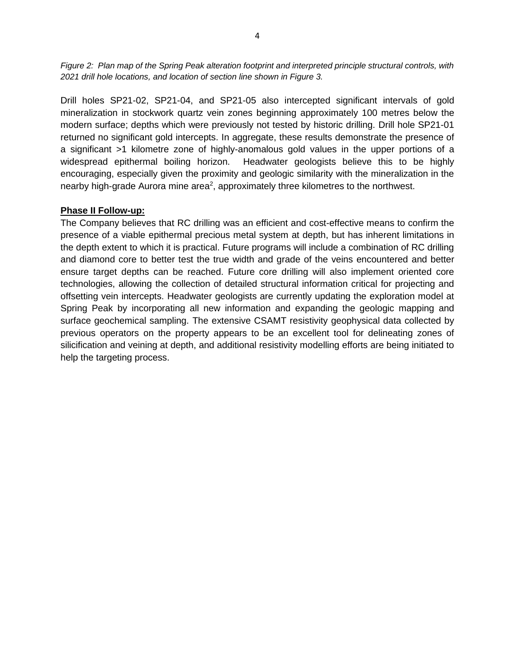*Figure 2: Plan map of the Spring Peak alteration footprint and interpreted principle structural controls, with 2021 drill hole locations, and location of section line shown in Figure 3.*

Drill holes SP21-02, SP21-04, and SP21-05 also intercepted significant intervals of gold mineralization in stockwork quartz vein zones beginning approximately 100 metres below the modern surface; depths which were previously not tested by historic drilling. Drill hole SP21-01 returned no significant gold intercepts. In aggregate, these results demonstrate the presence of a significant >1 kilometre zone of highly-anomalous gold values in the upper portions of a widespread epithermal boiling horizon. Headwater geologists believe this to be highly encouraging, especially given the proximity and geologic similarity with the mineralization in the nearby high-grade Aurora mine area<sup>2</sup>, approximately three kilometres to the northwest.

#### **Phase II Follow-up:**

The Company believes that RC drilling was an efficient and cost-effective means to confirm the presence of a viable epithermal precious metal system at depth, but has inherent limitations in the depth extent to which it is practical. Future programs will include a combination of RC drilling and diamond core to better test the true width and grade of the veins encountered and better ensure target depths can be reached. Future core drilling will also implement oriented core technologies, allowing the collection of detailed structural information critical for projecting and offsetting vein intercepts. Headwater geologists are currently updating the exploration model at Spring Peak by incorporating all new information and expanding the geologic mapping and surface geochemical sampling. The extensive CSAMT resistivity geophysical data collected by previous operators on the property appears to be an excellent tool for delineating zones of silicification and veining at depth, and additional resistivity modelling efforts are being initiated to help the targeting process.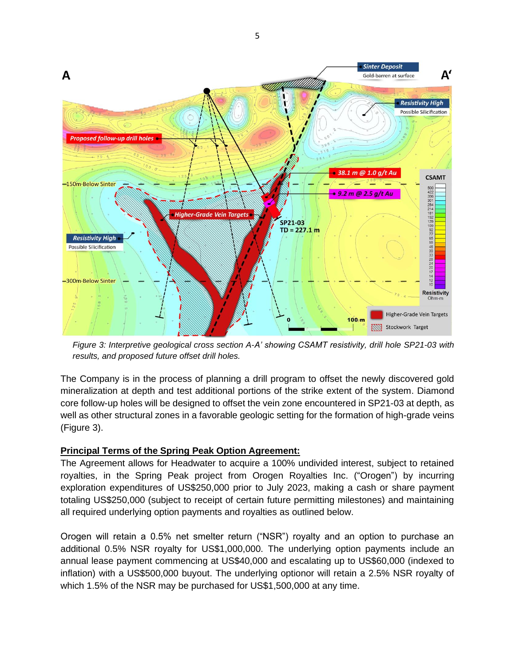

*Figure 3: Interpretive geological cross section A-A' showing CSAMT resistivity, drill hole SP21-03 with results, and proposed future offset drill holes.*

The Company is in the process of planning a drill program to offset the newly discovered gold mineralization at depth and test additional portions of the strike extent of the system. Diamond core follow-up holes will be designed to offset the vein zone encountered in SP21-03 at depth, as well as other structural zones in a favorable geologic setting for the formation of high-grade veins (Figure 3).

#### **Principal Terms of the Spring Peak Option Agreement:**

The Agreement allows for Headwater to acquire a 100% undivided interest, subject to retained royalties, in the Spring Peak project from Orogen Royalties Inc. ("Orogen") by incurring exploration expenditures of US\$250,000 prior to July 2023, making a cash or share payment totaling US\$250,000 (subject to receipt of certain future permitting milestones) and maintaining all required underlying option payments and royalties as outlined below.

Orogen will retain a 0.5% net smelter return ("NSR") royalty and an option to purchase an additional 0.5% NSR royalty for US\$1,000,000. The underlying option payments include an annual lease payment commencing at US\$40,000 and escalating up to US\$60,000 (indexed to inflation) with a US\$500,000 buyout. The underlying optionor will retain a 2.5% NSR royalty of which 1.5% of the NSR may be purchased for US\$1,500,000 at any time.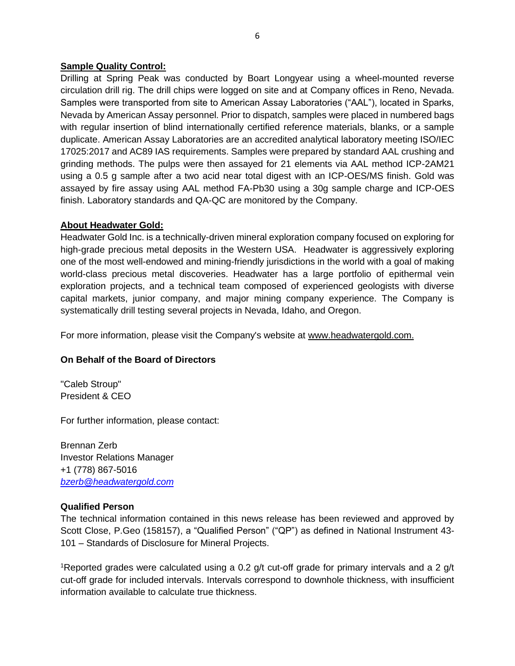#### **Sample Quality Control:**

Drilling at Spring Peak was conducted by Boart Longyear using a wheel-mounted reverse circulation drill rig. The drill chips were logged on site and at Company offices in Reno, Nevada. Samples were transported from site to American Assay Laboratories ("AAL"), located in Sparks, Nevada by American Assay personnel. Prior to dispatch, samples were placed in numbered bags with regular insertion of blind internationally certified reference materials, blanks, or a sample duplicate. American Assay Laboratories are an accredited analytical laboratory meeting ISO/IEC 17025:2017 and AC89 IAS requirements. Samples were prepared by standard AAL crushing and grinding methods. The pulps were then assayed for 21 elements via AAL method ICP-2AM21 using a 0.5 g sample after a two acid near total digest with an ICP-OES/MS finish. Gold was assayed by fire assay using AAL method FA-Pb30 using a 30g sample charge and ICP-OES finish. Laboratory standards and QA-QC are monitored by the Company.

### **About Headwater Gold:**

Headwater Gold Inc. is a technically-driven mineral exploration company focused on exploring for high-grade precious metal deposits in the Western USA. Headwater is aggressively exploring one of the most well-endowed and mining-friendly jurisdictions in the world with a goal of making world-class precious metal discoveries. Headwater has a large portfolio of epithermal vein exploration projects, and a technical team composed of experienced geologists with diverse capital markets, junior company, and major mining company experience. The Company is systematically drill testing several projects in Nevada, Idaho, and Oregon.

For more information, please visit the Company's website at [www.headwatergold.com.](https://hf.t.hubspotemail.net/e2t/tc/VWxxl61m82-ZW8TWn81209c8kW6D6W6y4sg_7mN5t-nk73p_8SV1-WJV7Cg-x6W3JHppG3_9WnjW8XqWY_57QsyyW4bkM6R3GWqcRW3JSFqG6Y-9tyW4VsDnV3Bqr7wW8qjVZL2jkHZDW3tz7GT84KFSKW2T9-mK6Gs_91W7FmDBn2vPzYwW8r-zl42Zp6qWW7VWWCq9gNC92W4NMRZN4VV9B_MTBxz_Kkk8LW47rQHG1j1g84Vn9txH8DkTjyW6T0Sdp3trMXzW7tDqhh3l8FJCW6w7_nq5bT0blW3_2KBL5_wW0GMnH_vHnKlZxN3KNSBRj7Jz-W53ltqx84nvvT3pSR1)

# **On Behalf of the Board of Directors**

"Caleb Stroup" President & CEO

For further information, please contact:

Brennan Zerb Investor Relations Manager +1 (778) 867-5016 *[bzerb@headwatergold.com](mailto:bzerb@headwatergold.com)*

#### **Qualified Person**

The technical information contained in this news release has been reviewed and approved by Scott Close, P.Geo (158157), a "Qualified Person" ("QP") as defined in National Instrument 43- 101 – Standards of Disclosure for Mineral Projects.

<sup>1</sup>Reported grades were calculated using a 0.2 g/t cut-off grade for primary intervals and a 2 g/t cut-off grade for included intervals. Intervals correspond to downhole thickness, with insufficient information available to calculate true thickness.